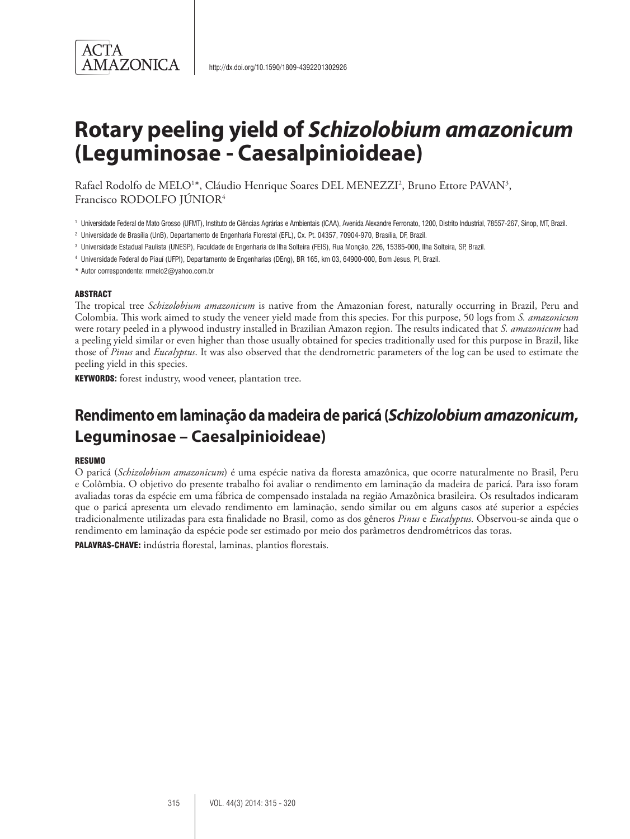

# **Rotary peeling yield of** *Schizolobium amazonicum*  **(Leguminosae - Caesalpinioideae)**

Rafael Rodolfo de MELO<sup>1\*</sup>, Cláudio Henrique Soares DEL MENEZZI<sup>2</sup>, Bruno Ettore PAVAN<sup>3</sup>, Francisco RODOLFO JÚNIOR4

- <sup>1</sup> Universidade Federal de Mato Grosso (UFMT), Instituto de Ciências Agrárias e Ambientais (ICAA), Avenida Alexandre Ferronato, 1200, Distrito Industrial, 78557-267, Sinop, MT, Brazil.
- <sup>2</sup> Universidade de Brasília (UnB), Departamento de Engenharia Florestal (EFL), Cx. Pt. 04357, 70904-970, Brasília, DF, Brazil.
- <sup>3</sup> Universidade Estadual Paulista (UNESP), Faculdade de Engenharia de Ilha Solteira (FEIS), Rua Monção, 226, 15385-000, Ilha Solteira, SP, Brazil.
- <sup>4</sup> Universidade Federal do Piauí (UFPI), Departamento de Engenharias (DEng), BR 165, km 03, 64900-000, Bom Jesus, PI, Brazil.
- \* Autor correspondente: rrmelo2@yahoo.com.br

#### **ABSTRACT**

The tropical tree *Schizolobium amazonicum* is native from the Amazonian forest, naturally occurring in Brazil, Peru and Colombia. This work aimed to study the veneer yield made from this species. For this purpose, 50 logs from *S. amazonicum* were rotary peeled in a plywood industry installed in Brazilian Amazon region. The results indicated that *S. amazonicum* had a peeling yield similar or even higher than those usually obtained for species traditionally used for this purpose in Brazil, like those of *Pinus* and *Eucalyptus*. It was also observed that the dendrometric parameters of the log can be used to estimate the peeling yield in this species.

KEYWORDS: forest industry, wood veneer, plantation tree.

# **Rendimento em laminação da madeira de paricá (***Schizolobium amazonicum***, Leguminosae – Caesalpinioideae)**

#### **RESUMO**

O paricá (*Schizolobium amazonicum*) é uma espécie nativa da floresta amazônica, que ocorre naturalmente no Brasil, Peru e Colômbia. O objetivo do presente trabalho foi avaliar o rendimento em laminação da madeira de paricá. Para isso foram avaliadas toras da espécie em uma fábrica de compensado instalada na região Amazônica brasileira. Os resultados indicaram que o paricá apresenta um elevado rendimento em laminação, sendo similar ou em alguns casos até superior a espécies tradicionalmente utilizadas para esta finalidade no Brasil, como as dos gêneros *Pinus* e *Eucalyptus*. Observou-se ainda que o rendimento em laminação da espécie pode ser estimado por meio dos parâmetros dendrométricos das toras.

PALAVRAS-CHAVE: indústria florestal, laminas, plantios florestais.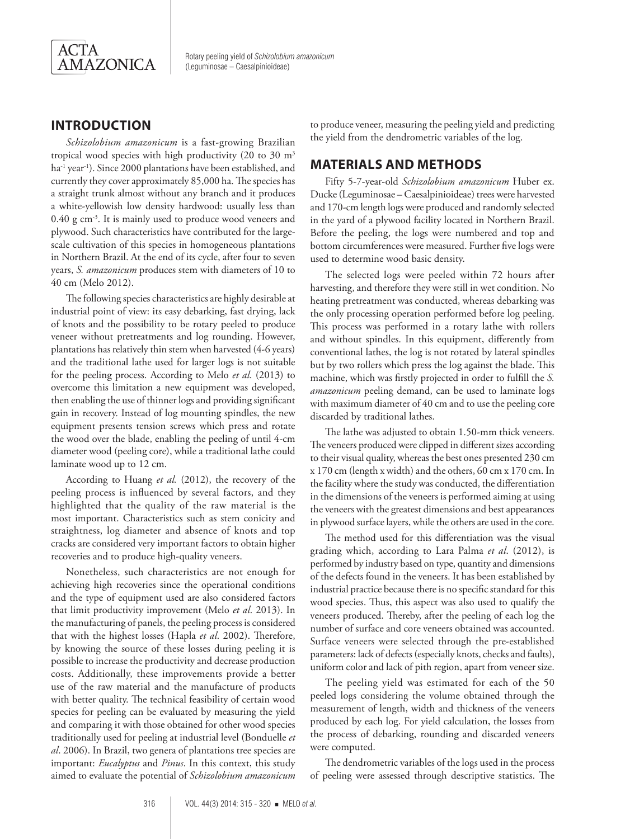

Rotary peeling yield of *Schizolobium amazonicum*  (Leguminosae – Caesalpinioideae)

## **INTRODUCTION**

*Schizolobium amazonicum* is a fast-growing Brazilian tropical wood species with high productivity (20 to 30 m3 ha<sup>-1</sup> year<sup>-1</sup>). Since 2000 plantations have been established, and currently they cover approximately 85,000 ha. The species has a straight trunk almost without any branch and it produces a white-yellowish low density hardwood: usually less than 0.40 g cm-3. It is mainly used to produce wood veneers and plywood. Such characteristics have contributed for the largescale cultivation of this species in homogeneous plantations in Northern Brazil. At the end of its cycle, after four to seven years, *S. amazonicum* produces stem with diameters of 10 to 40 cm (Melo 2012).

The following species characteristics are highly desirable at industrial point of view: its easy debarking, fast drying, lack of knots and the possibility to be rotary peeled to produce veneer without pretreatments and log rounding. However, plantations has relatively thin stem when harvested (4-6 years) and the traditional lathe used for larger logs is not suitable for the peeling process. According to Melo *et al*. (2013) to overcome this limitation a new equipment was developed, then enabling the use of thinner logs and providing significant gain in recovery. Instead of log mounting spindles, the new equipment presents tension screws which press and rotate the wood over the blade, enabling the peeling of until 4-cm diameter wood (peeling core), while a traditional lathe could laminate wood up to 12 cm.

According to Huang *et al.* (2012), the recovery of the peeling process is influenced by several factors, and they highlighted that the quality of the raw material is the most important. Characteristics such as stem conicity and straightness, log diameter and absence of knots and top cracks are considered very important factors to obtain higher recoveries and to produce high-quality veneers.

Nonetheless, such characteristics are not enough for achieving high recoveries since the operational conditions and the type of equipment used are also considered factors that limit productivity improvement (Melo *et al*. 2013). In the manufacturing of panels, the peeling process is considered that with the highest losses (Hapla *et al*. 2002). Therefore, by knowing the source of these losses during peeling it is possible to increase the productivity and decrease production costs. Additionally, these improvements provide a better use of the raw material and the manufacture of products with better quality. The technical feasibility of certain wood species for peeling can be evaluated by measuring the yield and comparing it with those obtained for other wood species traditionally used for peeling at industrial level (Bonduelle *et al*. 2006). In Brazil, two genera of plantations tree species are important: *Eucalyptus* and *Pinus*. In this context, this study aimed to evaluate the potential of *Schizolobium amazonicum*  to produce veneer, measuring the peeling yield and predicting the yield from the dendrometric variables of the log.

#### **MATERIALS AND METHODS**

Fifty 5-7-year-old *Schizolobium amazonicum* Huber ex. Ducke (Leguminosae – Caesalpinioideae) trees were harvested and 170-cm length logs were produced and randomly selected in the yard of a plywood facility located in Northern Brazil. Before the peeling, the logs were numbered and top and bottom circumferences were measured. Further five logs were used to determine wood basic density.

The selected logs were peeled within 72 hours after harvesting, and therefore they were still in wet condition. No heating pretreatment was conducted, whereas debarking was the only processing operation performed before log peeling. This process was performed in a rotary lathe with rollers and without spindles. In this equipment, differently from conventional lathes, the log is not rotated by lateral spindles but by two rollers which press the log against the blade. This machine, which was firstly projected in order to fulfill the *S. amazonicum* peeling demand, can be used to laminate logs with maximum diameter of 40 cm and to use the peeling core discarded by traditional lathes.

The lathe was adjusted to obtain 1.50-mm thick veneers. The veneers produced were clipped in different sizes according to their visual quality, whereas the best ones presented 230 cm x 170 cm (length x width) and the others, 60 cm x 170 cm. In the facility where the study was conducted, the differentiation in the dimensions of the veneers is performed aiming at using the veneers with the greatest dimensions and best appearances in plywood surface layers, while the others are used in the core.

The method used for this differentiation was the visual grading which, according to Lara Palma *et al*. (2012), is performed by industry based on type, quantity and dimensions of the defects found in the veneers. It has been established by industrial practice because there is no specific standard for this wood species. Thus, this aspect was also used to qualify the veneers produced. Thereby, after the peeling of each log the number of surface and core veneers obtained was accounted. Surface veneers were selected through the pre-established parameters: lack of defects (especially knots, checks and faults), uniform color and lack of pith region, apart from veneer size.

The peeling yield was estimated for each of the 50 peeled logs considering the volume obtained through the measurement of length, width and thickness of the veneers produced by each log. For yield calculation, the losses from the process of debarking, rounding and discarded veneers were computed.

The dendrometric variables of the logs used in the process of peeling were assessed through descriptive statistics. The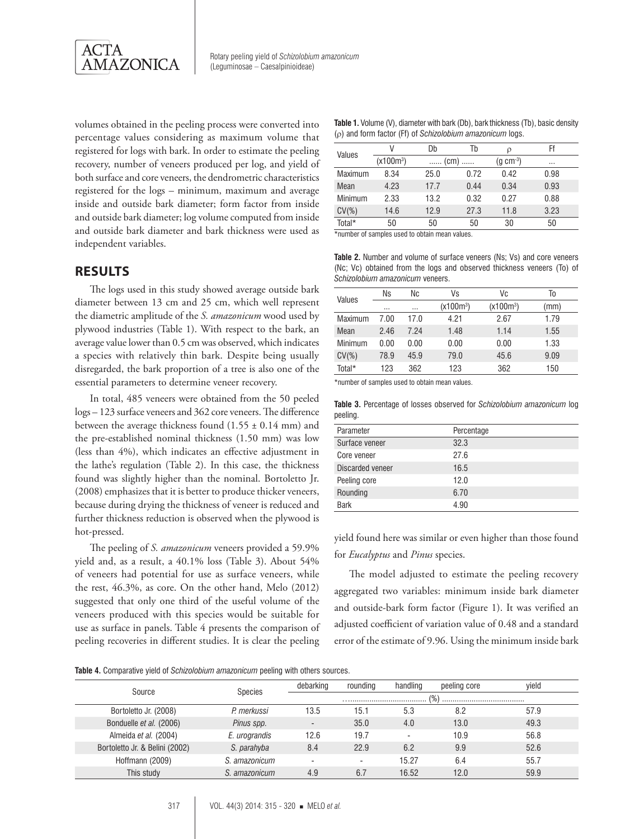

Rotary peeling yield of *Schizolobium amazonicum* (Leguminosae – Caesalpinioideae)

volumes obtained in the peeling process were converted into percentage values considering as maximum volume that registered for logs with bark. In order to estimate the peeling recovery, number of veneers produced per log, and yield of both surface and core veneers, the dendrometric characteristics registered for the logs – minimum, maximum and average inside and outside bark diameter; form factor from inside and outside bark diameter; log volume computed from inside and outside bark diameter and bark thickness were used as independent variables.

#### **RESULTS**

The logs used in this study showed average outside bark diameter between 13 cm and 25 cm, which well represent the diametric amplitude of the *S. amazonicum* wood used by plywood industries (Table 1). With respect to the bark, an average value lower than 0.5 cm was observed, which indicates a species with relatively thin bark. Despite being usually disregarded, the bark proportion of a tree is also one of the essential parameters to determine veneer recovery.

In total, 485 veneers were obtained from the 50 peeled logs – 123 surface veneers and 362 core veneers. The difference between the average thickness found  $(1.55 \pm 0.14 \text{ mm})$  and the pre-established nominal thickness (1.50 mm) was low (less than 4%), which indicates an effective adjustment in the lathe's regulation (Table 2). In this case, the thickness found was slightly higher than the nominal. Bortoletto Jr. (2008) emphasizes that it is better to produce thicker veneers, because during drying the thickness of veneer is reduced and further thickness reduction is observed when the plywood is hot-pressed.

The peeling of *S. amazonicum* veneers provided a 59.9% yield and, as a result, a 40.1% loss (Table 3). About 54% of veneers had potential for use as surface veneers, while the rest, 46.3%, as core. On the other hand, Melo (2012) suggested that only one third of the useful volume of the veneers produced with this species would be suitable for use as surface in panels. Table 4 presents the comparison of peeling recoveries in different studies. It is clear the peeling

**Table 1.** Volume (V), diameter with bark (Db), bark thickness (Tb), basic density (ρ) and form factor (Ff) of *Schizolobium amazonicum* logs.

| Values   | V                     | Db                 | Tb   | ρ          | Ff       |  |
|----------|-----------------------|--------------------|------|------------|----------|--|
|          | (x100m <sup>3</sup> ) | $\ldots$ (cm)<br>. |      | $(g cm-3)$ | $\cdots$ |  |
| Maximum  | 8.34                  | 25.0               | 0.72 | 0.42       | 0.98     |  |
| Mean     | 4.23                  | 17.7               | 0.44 | 0.34       | 0.93     |  |
| Minimum  | 2.33                  | 13.2               | 0.32 | 0.27       | 0.88     |  |
| $CV(\%)$ | 14.6                  | 12.9               | 27.3 | 11.8       | 3.23     |  |
| Total*   | 50                    | 50                 | 50   | 30         | 50       |  |

\*number of samples used to obtain mean values.

**Table 2.** Number and volume of surface veneers (Ns; Vs) and core veneers (Nc; Vc) obtained from the logs and observed thickness veneers (To) of *Schizolobium amazonicum* veneers.

| Values   | Ns       | Nc   | Vs          | Vc          | Тo   |
|----------|----------|------|-------------|-------------|------|
|          | $\cdots$ |      | $(x100m^3)$ | $(x100m^3)$ | (mm) |
| Maximum  | 7.00     | 17.0 | 4.21        | 2.67        | 1.79 |
| Mean     | 2.46     | 7.24 | 1.48        | 1.14        | 1.55 |
| Minimum  | 0.00     | 0.00 | 0.00        | 0.00        | 1.33 |
| $CV(\%)$ | 78.9     | 45.9 | 79.0        | 45.6        | 9.09 |
| Total*   | 123      | 362  | 123         | 362         | 150  |

\*number of samples used to obtain mean values.

**Table 3.** Percentage of losses observed for *Schizolobium amazonicum* log peeling.

| Parameter        | Percentage |
|------------------|------------|
| Surface veneer   | 32.3       |
| Core veneer      | 27.6       |
| Discarded veneer | 16.5       |
| Peeling core     | 12.0       |
| Rounding         | 6.70       |
| <b>Bark</b>      | 4.90       |

yield found here was similar or even higher than those found for *Eucalyptus* and *Pinus* species.

The model adjusted to estimate the peeling recovery aggregated two variables: minimum inside bark diameter and outside-bark form factor (Figure 1). It was verified an adjusted coefficient of variation value of 0.48 and a standard error of the estimate of 9.96. Using the minimum inside bark

**Table 4.** Comparative yield of *Schizolobium amazonicum* peeling with others sources.

|  |                                |                | debarking                | rounding                 | handling                 | peeling core | vield |
|--|--------------------------------|----------------|--------------------------|--------------------------|--------------------------|--------------|-------|
|  | Source                         | <b>Species</b> |                          |                          |                          |              |       |
|  | Bortoletto Jr. (2008)          | P. merkussi    | 13.5                     | 15.1                     | 5.3                      | 8.2          | 57.9  |
|  | Bonduelle et al. (2006)        | Pinus spp.     |                          | 35.0                     | 4.0                      | 13.0         | 49.3  |
|  | Almeida et al. (2004)          | E. urograndis  | 12.6                     | 19.7                     | $\overline{\phantom{a}}$ | 10.9         | 56.8  |
|  | Bortoletto Jr. & Belini (2002) | S. parahyba    | 8.4                      | 22.9                     | 6.2                      | 9.9          | 52.6  |
|  | Hoffmann (2009)                | S. amazonicum  | $\overline{\phantom{a}}$ | $\overline{\phantom{a}}$ | 15.27                    | 6.4          | 55.7  |
|  | This study                     | S. amazonicum  | 4.9                      | 6.7                      | 16.52                    | 12.0         | 59.9  |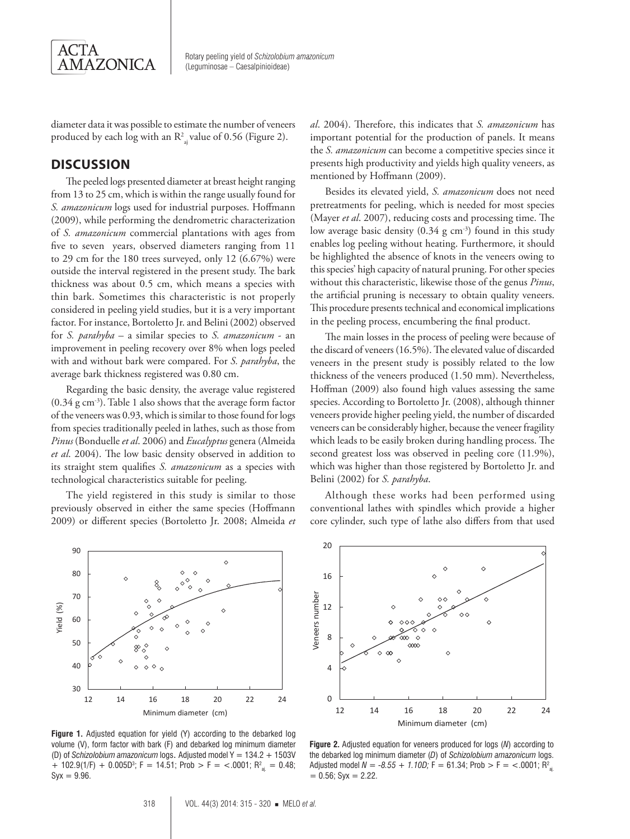

diameter data it was possible to estimate the number of veneers produced by each log with an  $\mathsf{R}_{\mathsf{a} \mathsf{j}}^{\mathsf{2}}$  value of 0.56 (Figure 2).

## **DISCUSSION**

The peeled logs presented diameter at breast height ranging from 13 to 25 cm, which is within the range usually found for *S. amazonicum* logs used for industrial purposes. Hoffmann (2009), while performing the dendrometric characterization of *S. amazonicum* commercial plantations with ages from five to seven years, observed diameters ranging from 11 to 29 cm for the 180 trees surveyed, only 12 (6.67%) were outside the interval registered in the present study. The bark thickness was about 0.5 cm, which means a species with thin bark. Sometimes this characteristic is not properly considered in peeling yield studies, but it is a very important factor. For instance, Bortoletto Jr. and Belini (2002) observed for *S. parahyba* – a similar species to *S. amazonicum* - an improvement in peeling recovery over 8% when logs peeled with and without bark were compared. For *S. parahyba*, the average bark thickness registered was 0.80 cm.

Regarding the basic density, the average value registered (0.34 g cm-3). Table 1 also shows that the average form factor of the veneers was 0.93, which is similar to those found for logs from species traditionally peeled in lathes, such as those from *Pinus* (Bonduelle *et al*. 2006) and *Eucalyptus* genera (Almeida *et al*. 2004). The low basic density observed in addition to its straight stem qualifies *S. amazonicum* as a species with technological characteristics suitable for peeling.

The yield registered in this study is similar to those previously observed in either the same species (Hoffmann 2009) or different species (Bortoletto Jr. 2008; Almeida *et* 



**Figure 1.** Adjusted equation for yield (Y) according to the debarked log volume (V), form factor with bark (F) and debarked log minimum diameter (D) of *Schizolobium amazonicum* logs. Adjusted model Y = 134.2 + 1503V + 102.9(1/F) + 0.005D<sup>3</sup>; F = 14.51; Prob > F = <.0001; R<sup>2</sup><sub>aj.</sub> = 0.48;  $Syx = 9.96$ .

*al*. 2004). Therefore, this indicates that *S. amazonicum* has important potential for the production of panels. It means the *S. amazonicum* can become a competitive species since it presents high productivity and yields high quality veneers, as mentioned by Hoffmann (2009).

Besides its elevated yield, *S. amazonicum* does not need pretreatments for peeling, which is needed for most species (Mayer *et al*. 2007), reducing costs and processing time. The low average basic density  $(0.34 \text{ g cm}^{-3})$  found in this study enables log peeling without heating. Furthermore, it should be highlighted the absence of knots in the veneers owing to this species' high capacity of natural pruning. For other species without this characteristic, likewise those of the genus *Pinus*, the artificial pruning is necessary to obtain quality veneers. This procedure presents technical and economical implications in the peeling process, encumbering the final product.

The main losses in the process of peeling were because of the discard of veneers (16.5%). The elevated value of discarded veneers in the present study is possibly related to the low thickness of the veneers produced (1.50 mm). Nevertheless, Hoffman (2009) also found high values assessing the same species. According to Bortoletto Jr. (2008), although thinner veneers provide higher peeling yield, the number of discarded veneers can be considerably higher, because the veneer fragility which leads to be easily broken during handling process. The second greatest loss was observed in peeling core (11.9%), which was higher than those registered by Bortoletto Jr. and Belini (2002) for *S. parahyba*.

Although these works had been performed using conventional lathes with spindles which provide a higher core cylinder, such type of lathe also differs from that used



**Figure 2.** Adjusted equation for veneers produced for logs (*N*) according to the debarked log minimum diameter (*D*) of *Schizolobium amazonicum* logs. Adjusted model *N = -8.55 + 1.10D;* F = 61.34; Prob > F = <.0001; R $^{\rm 2}_{\rm a j}$  $= 0.56$ ; Syx  $= 2.22$ .